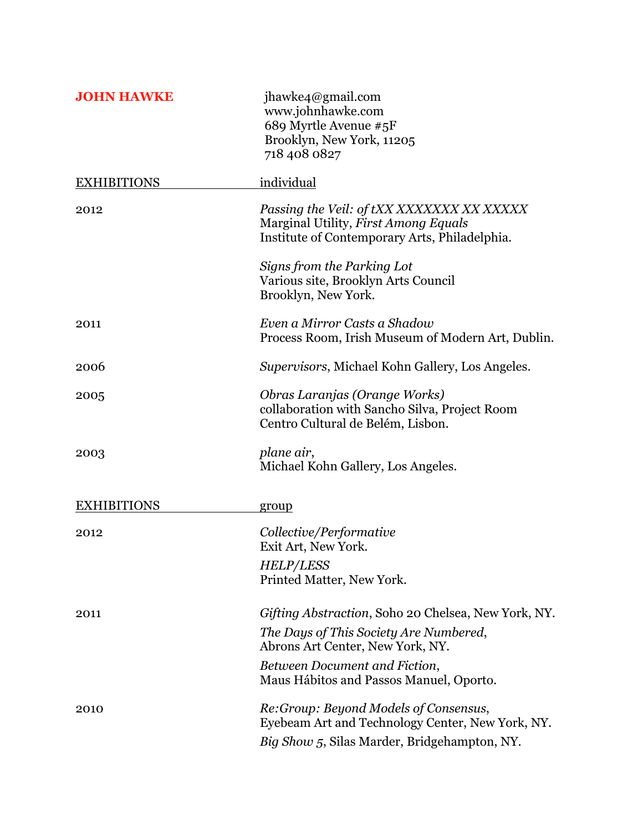| <b>JOHN HAWKE</b>  | jhawke4@gmail.com<br>www.johnhawke.com<br>689 Myrtle Avenue #5F<br>Brooklyn, New York, 11205<br>718 408 0827                       |
|--------------------|------------------------------------------------------------------------------------------------------------------------------------|
| <b>EXHIBITIONS</b> | individual                                                                                                                         |
| 2012               | Passing the Veil: of tXX XXXXXXX XX XXXXX<br>Marginal Utility, First Among Equals<br>Institute of Contemporary Arts, Philadelphia. |
|                    | Signs from the Parking Lot<br>Various site, Brooklyn Arts Council<br>Brooklyn, New York.                                           |
| 2011               | Even a Mirror Casts a Shadow<br>Process Room, Irish Museum of Modern Art, Dublin.                                                  |
| 2006               | Supervisors, Michael Kohn Gallery, Los Angeles.                                                                                    |
| 2005               | Obras Laranjas (Orange Works)<br>collaboration with Sancho Silva, Project Room<br>Centro Cultural de Belém, Lisbon.                |
| 2003               | plane air,<br>Michael Kohn Gallery, Los Angeles.                                                                                   |
| <b>EXHIBITIONS</b> | group                                                                                                                              |
| 2012               | Collective/Performative<br>Exit Art, New York.                                                                                     |
|                    | <b>HELP/LESS</b><br>Printed Matter, New York.                                                                                      |
| 2011               | Gifting Abstraction, Soho 20 Chelsea, New York, NY.                                                                                |
|                    | The Days of This Society Are Numbered,<br>Abrons Art Center, New York, NY.                                                         |
|                    | Between Document and Fiction,<br>Maus Hábitos and Passos Manuel, Oporto.                                                           |
| 2010               | Re:Group: Beyond Models of Consensus,<br>Eyebeam Art and Technology Center, New York, NY.                                          |
|                    | Big Show 5, Silas Marder, Bridgehampton, NY.                                                                                       |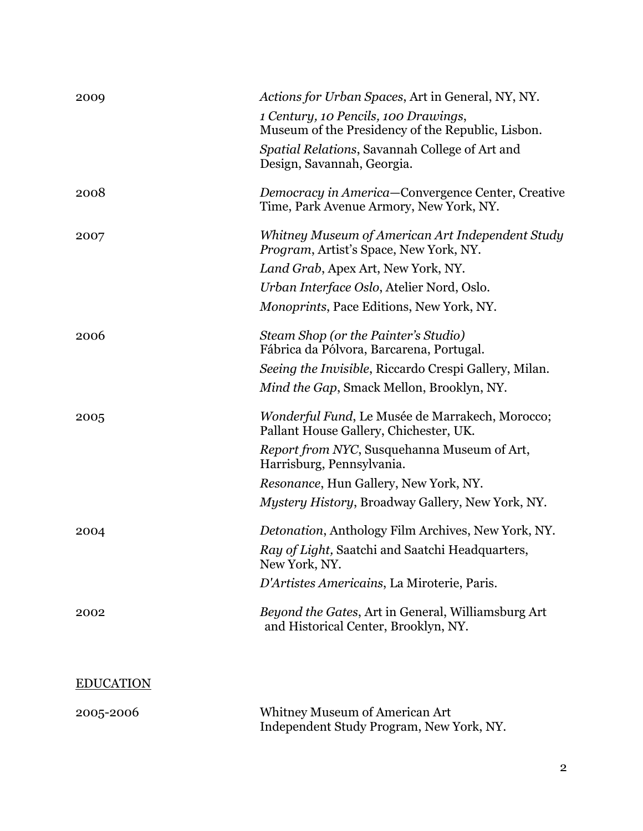| 2009             | Actions for Urban Spaces, Art in General, NY, NY.                                                 |
|------------------|---------------------------------------------------------------------------------------------------|
|                  | 1 Century, 10 Pencils, 100 Drawings,<br>Museum of the Presidency of the Republic, Lisbon.         |
|                  | Spatial Relations, Savannah College of Art and<br>Design, Savannah, Georgia.                      |
| 2008             | Democracy in America-Convergence Center, Creative<br>Time, Park Avenue Armory, New York, NY.      |
| 2007             | Whitney Museum of American Art Independent Study<br><i>Program, Artist's Space, New York, NY.</i> |
|                  | Land Grab, Apex Art, New York, NY.                                                                |
|                  | Urban Interface Oslo, Atelier Nord, Oslo.                                                         |
|                  | <i>Monoprints, Pace Editions, New York, NY.</i>                                                   |
| 2006             | Steam Shop (or the Painter's Studio)<br>Fábrica da Pólvora, Barcarena, Portugal.                  |
|                  | Seeing the Invisible, Riccardo Crespi Gallery, Milan.                                             |
|                  | Mind the Gap, Smack Mellon, Brooklyn, NY.                                                         |
| 2005             | Wonderful Fund, Le Musée de Marrakech, Morocco;<br>Pallant House Gallery, Chichester, UK.         |
|                  | Report from NYC, Susquehanna Museum of Art,<br>Harrisburg, Pennsylvania.                          |
|                  | Resonance, Hun Gallery, New York, NY.                                                             |
|                  | Mystery History, Broadway Gallery, New York, NY.                                                  |
| 2004             | Detonation, Anthology Film Archives, New York, NY.                                                |
|                  | Ray of Light, Saatchi and Saatchi Headquarters,<br>New York, NY.                                  |
|                  | D'Artistes Americains, La Miroterie, Paris.                                                       |
| 2002             | Beyond the Gates, Art in General, Williamsburg Art<br>and Historical Center, Brooklyn, NY.        |
|                  |                                                                                                   |
| <b>EDUCATION</b> |                                                                                                   |
| 2005-2006        | Whitney Museum of American Art<br>Independent Study Program, New York, NY.                        |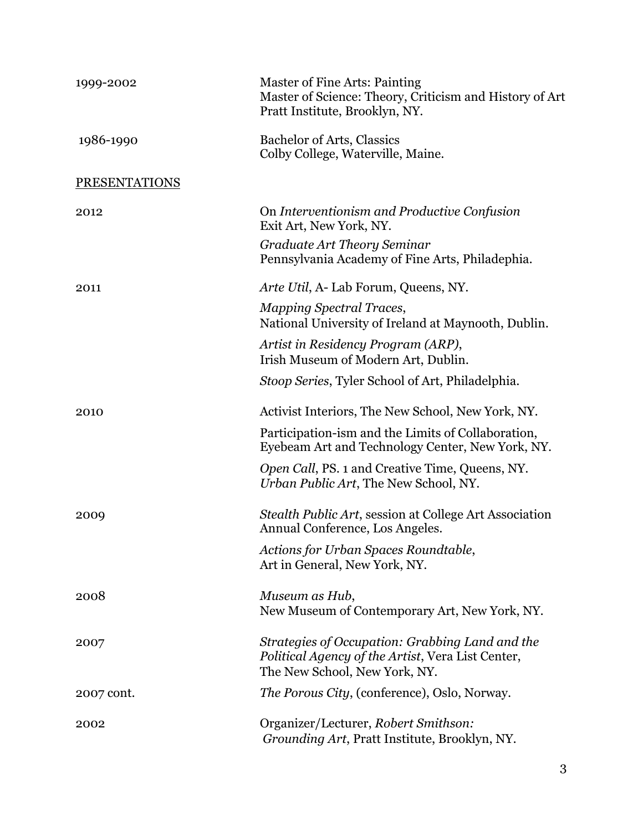| 1999-2002            | Master of Fine Arts: Painting<br>Master of Science: Theory, Criticism and History of Art<br>Pratt Institute, Brooklyn, NY.            |
|----------------------|---------------------------------------------------------------------------------------------------------------------------------------|
| 1986-1990            | Bachelor of Arts, Classics<br>Colby College, Waterville, Maine.                                                                       |
| <b>PRESENTATIONS</b> |                                                                                                                                       |
| 2012                 | On Interventionism and Productive Confusion<br>Exit Art, New York, NY.                                                                |
|                      | Graduate Art Theory Seminar<br>Pennsylvania Academy of Fine Arts, Philadephia.                                                        |
| 2011                 | Arte Util, A-Lab Forum, Queens, NY.                                                                                                   |
|                      | <b>Mapping Spectral Traces,</b><br>National University of Ireland at Maynooth, Dublin.                                                |
|                      | Artist in Residency Program (ARP),<br>Irish Museum of Modern Art, Dublin.                                                             |
|                      | Stoop Series, Tyler School of Art, Philadelphia.                                                                                      |
| 2010                 | Activist Interiors, The New School, New York, NY.                                                                                     |
|                      | Participation-ism and the Limits of Collaboration,<br>Eyebeam Art and Technology Center, New York, NY.                                |
|                      | Open Call, PS. 1 and Creative Time, Queens, NY.<br>Urban Public Art, The New School, NY.                                              |
| 2009                 | Stealth Public Art, session at College Art Association<br>Annual Conference, Los Angeles.                                             |
|                      | Actions for Urban Spaces Roundtable,<br>Art in General, New York, NY.                                                                 |
| 2008                 | Museum as Hub,<br>New Museum of Contemporary Art, New York, NY.                                                                       |
| 2007                 | Strategies of Occupation: Grabbing Land and the<br>Political Agency of the Artist, Vera List Center,<br>The New School, New York, NY. |
| 2007 cont.           | <i>The Porous City, (conference), Oslo, Norway.</i>                                                                                   |
| 2002                 | Organizer/Lecturer, Robert Smithson:<br>Grounding Art, Pratt Institute, Brooklyn, NY.                                                 |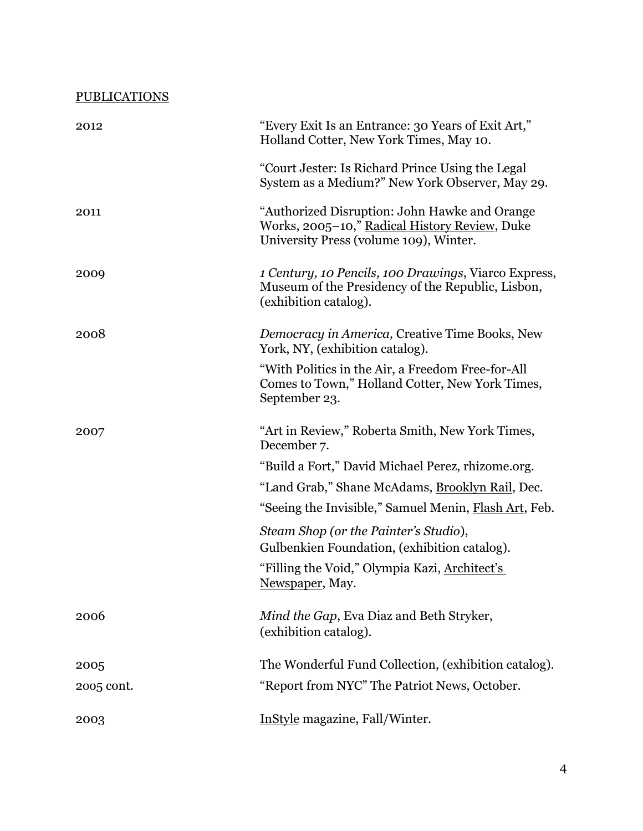| <b>PUBLICATIONS</b> |                                                                                                                                           |
|---------------------|-------------------------------------------------------------------------------------------------------------------------------------------|
| 2012                | "Every Exit Is an Entrance: 30 Years of Exit Art,"<br>Holland Cotter, New York Times, May 10.                                             |
|                     | "Court Jester: Is Richard Prince Using the Legal<br>System as a Medium?" New York Observer, May 29.                                       |
| 2011                | "Authorized Disruption: John Hawke and Orange<br>Works, 2005-10," Radical History Review, Duke<br>University Press (volume 109), Winter.  |
| 2009                | <i>1 Century, 10 Pencils, 100 Drawings, Viarco Express,</i><br>Museum of the Presidency of the Republic, Lisbon,<br>(exhibition catalog). |
| 2008                | Democracy in America, Creative Time Books, New<br>York, NY, (exhibition catalog).                                                         |
|                     | "With Politics in the Air, a Freedom Free-for-All<br>Comes to Town," Holland Cotter, New York Times,<br>September 23.                     |
| 2007                | "Art in Review," Roberta Smith, New York Times,<br>December 7.                                                                            |
|                     | "Build a Fort," David Michael Perez, rhizome.org.                                                                                         |
|                     | "Land Grab," Shane McAdams, Brooklyn Rail, Dec.                                                                                           |
|                     | "Seeing the Invisible," Samuel Menin, Flash Art, Feb.                                                                                     |
|                     | Steam Shop (or the Painter's Studio),<br>Gulbenkien Foundation, (exhibition catalog).                                                     |
|                     | "Filling the Void," Olympia Kazi, Architect's<br>Newspaper, May.                                                                          |
| 2006                | Mind the Gap, Eva Diaz and Beth Stryker,<br>(exhibition catalog).                                                                         |
| 2005                | The Wonderful Fund Collection, (exhibition catalog).                                                                                      |
| 2005 cont.          | "Report from NYC" The Patriot News, October.                                                                                              |
| 2003                | InStyle magazine, Fall/Winter.                                                                                                            |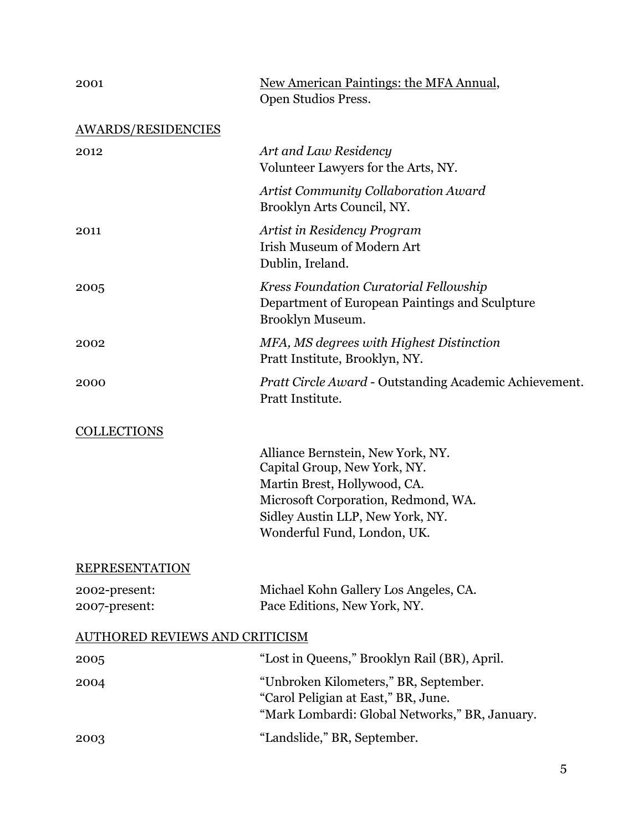| 2001                                  | New American Paintings: the MFA Annual,<br>Open Studios Press.                                                                                                                                              |
|---------------------------------------|-------------------------------------------------------------------------------------------------------------------------------------------------------------------------------------------------------------|
| <b>AWARDS/RESIDENCIES</b>             |                                                                                                                                                                                                             |
| 2012                                  | Art and Law Residency<br>Volunteer Lawyers for the Arts, NY.                                                                                                                                                |
|                                       | <b>Artist Community Collaboration Award</b><br>Brooklyn Arts Council, NY.                                                                                                                                   |
| 2011                                  | Artist in Residency Program<br><b>Irish Museum of Modern Art</b><br>Dublin, Ireland.                                                                                                                        |
| 2005                                  | Kress Foundation Curatorial Fellowship<br>Department of European Paintings and Sculpture<br>Brooklyn Museum.                                                                                                |
| 2002                                  | MFA, MS degrees with Highest Distinction<br>Pratt Institute, Brooklyn, NY.                                                                                                                                  |
| 2000                                  | <i>Pratt Circle Award - Outstanding Academic Achievement.</i><br>Pratt Institute.                                                                                                                           |
| <b>COLLECTIONS</b>                    |                                                                                                                                                                                                             |
|                                       | Alliance Bernstein, New York, NY.<br>Capital Group, New York, NY.<br>Martin Brest, Hollywood, CA.<br>Microsoft Corporation, Redmond, WA.<br>Sidley Austin LLP, New York, NY.<br>Wonderful Fund, London, UK. |
| <b>REPRESENTATION</b>                 |                                                                                                                                                                                                             |
| 2002-present:<br>2007-present:        | Michael Kohn Gallery Los Angeles, CA.<br>Pace Editions, New York, NY.                                                                                                                                       |
| <b>AUTHORED REVIEWS AND CRITICISM</b> |                                                                                                                                                                                                             |
| 2005                                  | "Lost in Queens," Brooklyn Rail (BR), April.                                                                                                                                                                |
| 2004                                  | "Unbroken Kilometers," BR, September.<br>"Carol Peligian at East," BR, June.<br>"Mark Lombardi: Global Networks," BR, January.                                                                              |
| 2003                                  | "Landslide," BR, September.                                                                                                                                                                                 |